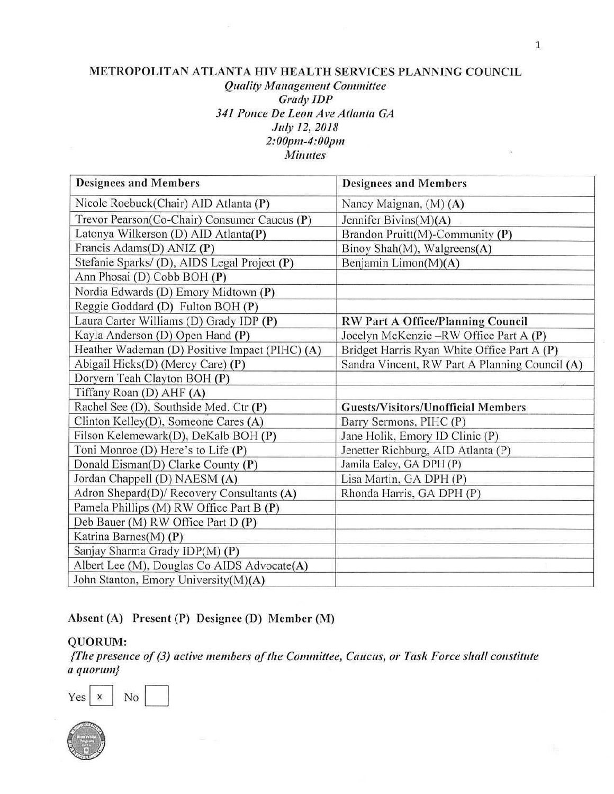#### **METROPOLITAN ATLANTA HIV HEALTH SERVICES PLANNING COUNCIL**  *Quality* **Management** *Committee Grady !DP 341 Ponce De Leon Ave Atlanta GA July 12, 2018 2:00pm-4:00pm Minutes*

| <b>Designees and Members</b>                   | <b>Designees and Members</b>                   |
|------------------------------------------------|------------------------------------------------|
| Nicole Roebuck(Chair) AID Atlanta (P)          | Nancy Maignan, (M) (A)                         |
| Trevor Pearson(Co-Chair) Consumer Caucus (P)   | Jennifer Bivins(M)(A)                          |
| Latonya Wilkerson (D) AID Atlanta(P)           | Brandon Pruitt(M)-Community (P)                |
| Francis Adams(D) ANIZ (P)                      | Binoy Shah(M), Walgreens(A)                    |
| Stefanie Sparks/(D), AIDS Legal Project (P)    | Benjamin Limon(M)(A)                           |
| Ann Phosai (D) Cobb BOH (P)                    |                                                |
| Nordia Edwards (D) Emory Midtown (P)           |                                                |
| Reggie Goddard (D) Fulton BOH (P)              |                                                |
| Laura Carter Williams (D) Grady IDP (P)        | <b>RW Part A Office/Planning Council</b>       |
| Kayla Anderson (D) Open Hand (P)               | Jocelyn McKenzie -RW Office Part A (P)         |
| Heather Wademan (D) Positive Impact (PIHC) (A) | Bridget Harris Ryan White Office Part A (P)    |
| Abigail Hicks(D) (Mercy Care) (P)              | Sandra Vincent, RW Part A Planning Council (A) |
| Doryern Teah Clayton BOH (P)                   |                                                |
| Tiffany Roan (D) AHF (A)                       |                                                |
| Rachel See (D), Southside Med. Ctr (P)         | <b>Guests/Visitors/Unofficial Members</b>      |
| Clinton Kelley(D), Someone Cares (A)           | Barry Sermons, PIHC (P)                        |
| Filson Kelemewark(D), DeKalb BOH (P)           | Jane Holik, Emory ID Clinic (P)                |
| Toni Monroe (D) Here's to Life (P)             | Jenetter Richburg, AID Atlanta (P)             |
| Donald Eisman(D) Clarke County (P)             | Jamila Ealey, GA DPH (P)                       |
| Jordan Chappell (D) NAESM (A)                  | Lisa Martin, GA DPH (P)                        |
| Adron Shepard(D)/ Recovery Consultants (A)     | Rhonda Harris, GA DPH (P)                      |
| Pamela Phillips (M) RW Office Part B (P)       |                                                |
| Deb Bauer (M) RW Office Part D (P)             |                                                |
| Katrina Barnes(M) (P)                          |                                                |
| Sanjay Sharma Grady IDP(M) (P)                 |                                                |
| Albert Lee (M), Douglas Co AIDS Advocate(A)    |                                                |
| John Stanton, Emory University(M)(A)           |                                                |

**Absent {A) Present (P) Designee (D) Member (M)** 

## **QUORUM:**

*{Tire presence of (3) active members of tire Committee, Caucus, or Task Force* **sh all** *constitute <sup>a</sup>***quorum}** 

1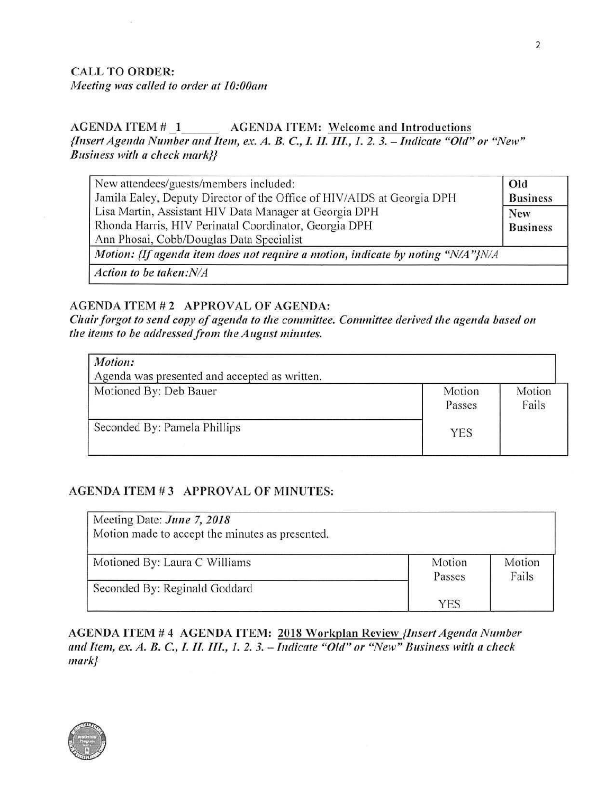## CALL TO ORDER: *Meeting was called to order at 1 0:00am*

#### AGENDA ITEM # 1 \_\_\_\_\_\_ AGENDA ITEM: Welcome and Introductions --- *{Insert Agenda Number and Item, ex. A. B.* C., /. *II. IIL, 1. 2. 3. -* Indicate *"Old" or "New" Business with a check mark}}*

| New attendees/guests/members included:                                          | Old |
|---------------------------------------------------------------------------------|-----|
| Jamila Ealey, Deputy Director of the Office of HIV/AIDS at Georgia DPH          |     |
| Lisa Martin, Assistant HIV Data Manager at Georgia DPH                          |     |
| Rhonda Harris, HIV Perinatal Coordinator, Georgia DPH                           |     |
| Ann Phosai, Cobb/Douglas Data Specialist                                        |     |
| Motion: {If agenda item does not require a motion, indicate by noting "N/A"}N/A |     |
| Action to be taken:N/A                                                          |     |

#### AGENDA ITEM #2 APPROVAL OF AGENDA:

*Chair forgot to send copy of agenda to tire committee. Committee derived tile agenda based <sup>011</sup> the items to be addressed from the August minutes.* 

| Motion:<br>Agenda was presented and accepted as written. |                  |                 |
|----------------------------------------------------------|------------------|-----------------|
| Motioned By: Deb Bauer                                   | Motion<br>Passes | Motion<br>Fails |
| Seconded By: Pamela Phillips                             | <b>YES</b>       |                 |

### **AGENDA ITEM# 3 APPROVAL OF MINUTES:**

| Meeting Date: June 7, 2018<br>Motion made to accept the minutes as presented. |                  |                 |
|-------------------------------------------------------------------------------|------------------|-----------------|
| Motioned By: Laura C Williams                                                 | Motion<br>Passes | Motion<br>Fails |
| Seconded By: Reginald Goddard                                                 |                  |                 |
|                                                                               | <b>YES</b>       |                 |

**AGENDA ITEM# 4 AGENDA ITEM: 2018 Workplan Review** *{Insert Agenda Number and Item, ex. A. B.* **C.,** *I. II. III., 1. 2. 3. - Indicate "Old" or "New" Business* **with** *a check mark}* 

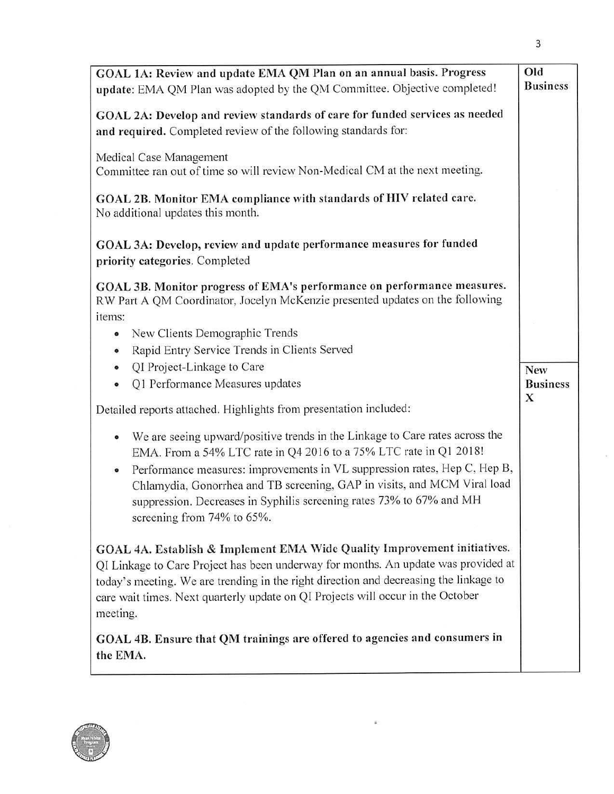| GOAL 1A: Review and update EMA QM Plan on an annual basis. Progress<br>update: EMA QM Plan was adopted by the QM Committee. Objective completed!                                                                                                                                                                                                       | Old<br><b>Business</b> |
|--------------------------------------------------------------------------------------------------------------------------------------------------------------------------------------------------------------------------------------------------------------------------------------------------------------------------------------------------------|------------------------|
| GOAL 2A: Develop and review standards of care for funded services as needed<br>and required. Completed review of the following standards for:                                                                                                                                                                                                          |                        |
| Medical Case Management<br>Committee ran out of time so will review Non-Medical CM at the next meeting.                                                                                                                                                                                                                                                |                        |
| GOAL 2B. Monitor EMA compliance with standards of HIV related care.<br>No additional updates this month.                                                                                                                                                                                                                                               |                        |
| GOAL 3A: Develop, review and update performance measures for funded<br>priority categories. Completed                                                                                                                                                                                                                                                  |                        |
| GOAL 3B. Monitor progress of EMA's performance on performance measures.<br>RW Part A QM Coordinator, Jocelyn McKenzie presented updates on the following                                                                                                                                                                                               |                        |
| items:                                                                                                                                                                                                                                                                                                                                                 |                        |
| New Clients Demographic Trends<br>$\bullet$                                                                                                                                                                                                                                                                                                            |                        |
| Rapid Entry Service Trends in Clients Served<br>$\bullet$                                                                                                                                                                                                                                                                                              |                        |
| QI Project-Linkage to Care<br>$\bullet$                                                                                                                                                                                                                                                                                                                | New                    |
| Q1 Performance Measures updates<br>$\bullet$                                                                                                                                                                                                                                                                                                           | <b>Business</b><br>X   |
| Detailed reports attached. Highlights from presentation included:                                                                                                                                                                                                                                                                                      |                        |
| We are seeing upward/positive trends in the Linkage to Care rates across the<br>$\bullet$<br>EMA. From a 54% LTC rate in Q4 2016 to a 75% LTC rate in Q1 2018!                                                                                                                                                                                         |                        |
| Performance measures: improvements in VL suppression rates, Hep C, Hep B,<br>$\bullet$<br>Chlamydia, Gonorrhea and TB screening, GAP in visits, and MCM Viral load<br>suppression. Decreases in Syphilis screening rates 73% to 67% and MH<br>screening from 74% to 65%.                                                                               |                        |
| GOAL 4A. Establish & Implement EMA Wide Quality Improvement initiatives.<br>QI Linkage to Care Project has been underway for months. An update was provided at<br>today's meeting. We are trending in the right direction and decreasing the linkage to<br>care wait times. Next quarterly update on QI Projects will occur in the October<br>meeting. |                        |
| GOAL 4B. Ensure that QM trainings are offered to agencies and consumers in<br>the EMA.                                                                                                                                                                                                                                                                 |                        |



 $\bar{\sigma}$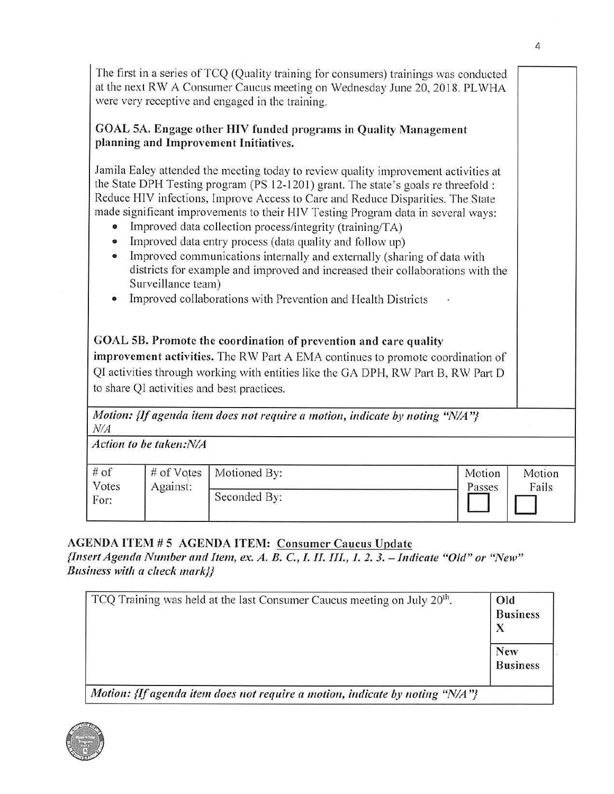The first in a series of TCQ (Quality training for consumers) trainings was conducted at the next RW A Consumer Caucus meeting on Wednesday June 20, 2018. PLWHA were very receptive and engaged in the training. GOAL SA. Engage other HIV funded programs in Quality Management **planning and Improvement Initiatives.**  Jamila Ealey attended the meeting today to review quality improvement activities at the State DPH Testing program (PS 12-1201) grant. The state's goals re threefold : Reduce HIV infections, Improve Access to Care and Reduce Disparities. The State made significant improvements to their HIV Testing Program data in several ways: • Improved data collection process/integrity (training/TA) • Improved data entry process (data quality and follow up) • Improved communications internally and externally (sharing of data with districts for example and improved and increased their collaborations with the Surveillance team) • Improved collaborations with Prevention and Health Districts **GOAL SB. Promote the coordination of prevention and care quality improvement activities.** The RW Part A EMA continues to promote coordination of QI activities through working with entities like the GA DPH, RW Part B, RW Part <sup>D</sup> to share QI activities and best practices. *Motion: {If agenda item does not require a motion, indicate by noting "N/A"} NIA Action to be taken:N/A*  # of Votes For: # of Vo tes Against: Motioned By: Seconded By: Motion Passes  $\Box$ Motion Fails D

**AGENDA ITEM# 5 AGENDA ITEM: Consumer Caucus Update** 

*{Insert Agenda Number and Item, ex. A. B.* **C.,** *I. II. III., 1. 2. 3.* **=Tndicate** *"Old" or "New" Business* **with** *a check mark}}* 

| TCQ Training was held at the last Consumer Caucus meeting on July 20 <sup>th</sup> . | Old<br><b>Business</b>        |
|--------------------------------------------------------------------------------------|-------------------------------|
|                                                                                      | <b>New</b><br><b>Business</b> |
| Motion: {If agenda item does not require a motion, indicate by noting " $N/A$ "}     |                               |